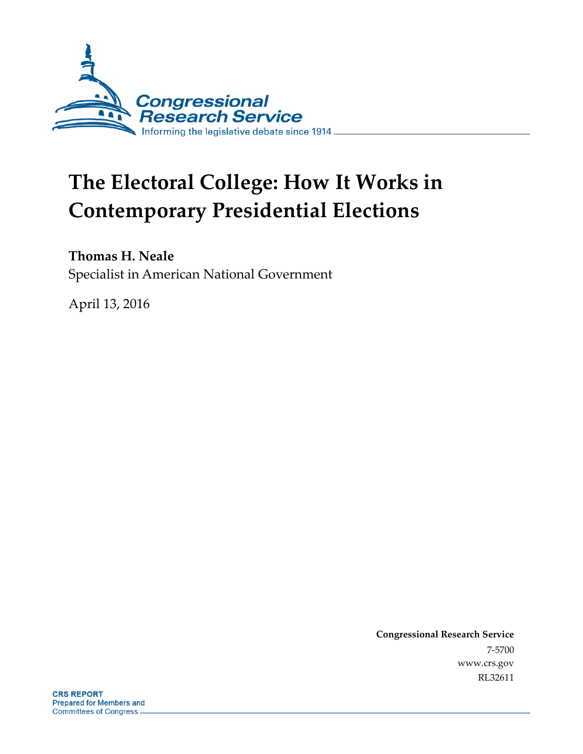

# **The Electoral College: How It Works in Contemporary Presidential Elections**

## **Thomas H. Neale**

Specialist in American National Government

April 13, 2016

**Congressional Research Service** 7-5700 www.crs.gov RL32611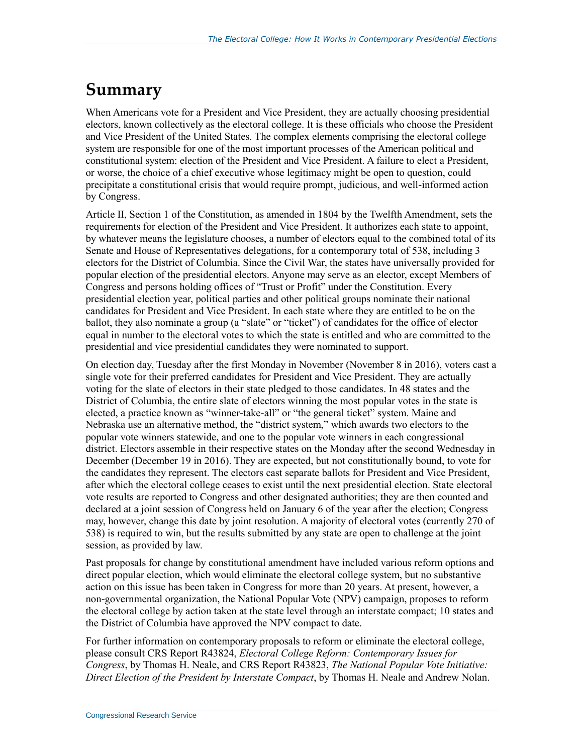## **Summary**

When Americans vote for a President and Vice President, they are actually choosing presidential electors, known collectively as the electoral college. It is these officials who choose the President and Vice President of the United States. The complex elements comprising the electoral college system are responsible for one of the most important processes of the American political and constitutional system: election of the President and Vice President. A failure to elect a President, or worse, the choice of a chief executive whose legitimacy might be open to question, could precipitate a constitutional crisis that would require prompt, judicious, and well-informed action by Congress.

Article II, Section 1 of the Constitution, as amended in 1804 by the Twelfth Amendment, sets the requirements for election of the President and Vice President. It authorizes each state to appoint, by whatever means the legislature chooses, a number of electors equal to the combined total of its Senate and House of Representatives delegations, for a contemporary total of 538, including 3 electors for the District of Columbia. Since the Civil War, the states have universally provided for popular election of the presidential electors. Anyone may serve as an elector, except Members of Congress and persons holding offices of "Trust or Profit" under the Constitution. Every presidential election year, political parties and other political groups nominate their national candidates for President and Vice President. In each state where they are entitled to be on the ballot, they also nominate a group (a "slate" or "ticket") of candidates for the office of elector equal in number to the electoral votes to which the state is entitled and who are committed to the presidential and vice presidential candidates they were nominated to support.

On election day, Tuesday after the first Monday in November (November 8 in 2016), voters cast a single vote for their preferred candidates for President and Vice President. They are actually voting for the slate of electors in their state pledged to those candidates. In 48 states and the District of Columbia, the entire slate of electors winning the most popular votes in the state is elected, a practice known as "winner-take-all" or "the general ticket" system. Maine and Nebraska use an alternative method, the "district system," which awards two electors to the popular vote winners statewide, and one to the popular vote winners in each congressional district. Electors assemble in their respective states on the Monday after the second Wednesday in December (December 19 in 2016). They are expected, but not constitutionally bound, to vote for the candidates they represent. The electors cast separate ballots for President and Vice President, after which the electoral college ceases to exist until the next presidential election. State electoral vote results are reported to Congress and other designated authorities; they are then counted and declared at a joint session of Congress held on January 6 of the year after the election; Congress may, however, change this date by joint resolution. A majority of electoral votes (currently 270 of 538) is required to win, but the results submitted by any state are open to challenge at the joint session, as provided by law.

Past proposals for change by constitutional amendment have included various reform options and direct popular election, which would eliminate the electoral college system, but no substantive action on this issue has been taken in Congress for more than 20 years. At present, however, a non-governmental organization, the National Popular Vote (NPV) campaign, proposes to reform the electoral college by action taken at the state level through an interstate compact; 10 states and the District of Columbia have approved the NPV compact to date.

For further information on contemporary proposals to reform or eliminate the electoral college, please consult CRS Report R43824, *Electoral College Reform: Contemporary Issues for Congress*, by Thomas H. Neale, and CRS Report R43823, *The National Popular Vote Initiative: Direct Election of the President by Interstate Compact*, by Thomas H. Neale and Andrew Nolan.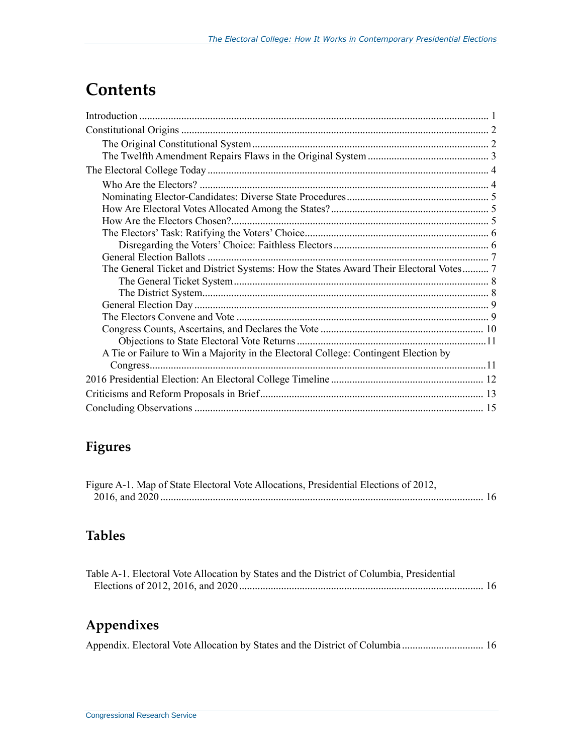## **Contents**

| The General Ticket and District Systems: How the States Award Their Electoral Votes 7 |  |
|---------------------------------------------------------------------------------------|--|
|                                                                                       |  |
|                                                                                       |  |
|                                                                                       |  |
|                                                                                       |  |
|                                                                                       |  |
|                                                                                       |  |
| A Tie or Failure to Win a Majority in the Electoral College: Contingent Election by   |  |
|                                                                                       |  |
|                                                                                       |  |
|                                                                                       |  |
|                                                                                       |  |

## **Figures**

| Figure A-1. Map of State Electoral Vote Allocations, Presidential Elections of 2012, |  |
|--------------------------------------------------------------------------------------|--|
|                                                                                      |  |

## **Tables**

| Table A-1. Electoral Vote Allocation by States and the District of Columbia, Presidential |  |
|-------------------------------------------------------------------------------------------|--|
|                                                                                           |  |

## **Appendixes**

Appendix. Electoral Vote Allocation by States and the District of Columbia ............................... 16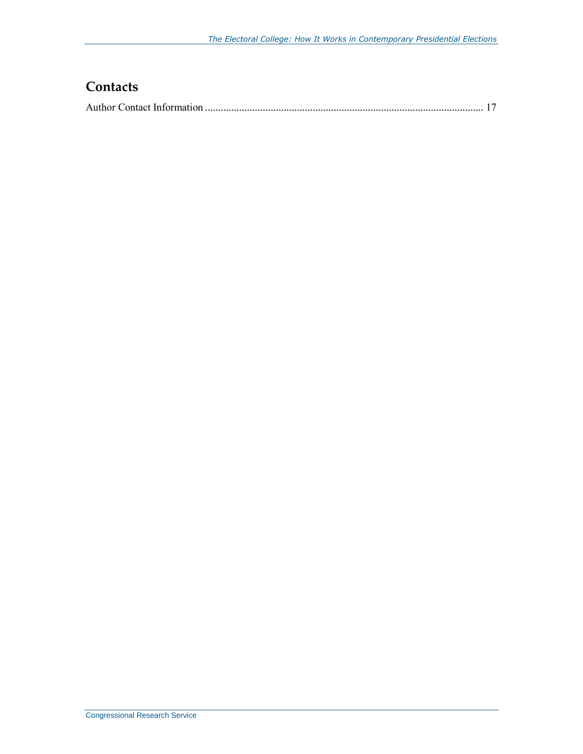## **Contacts**

|--|--|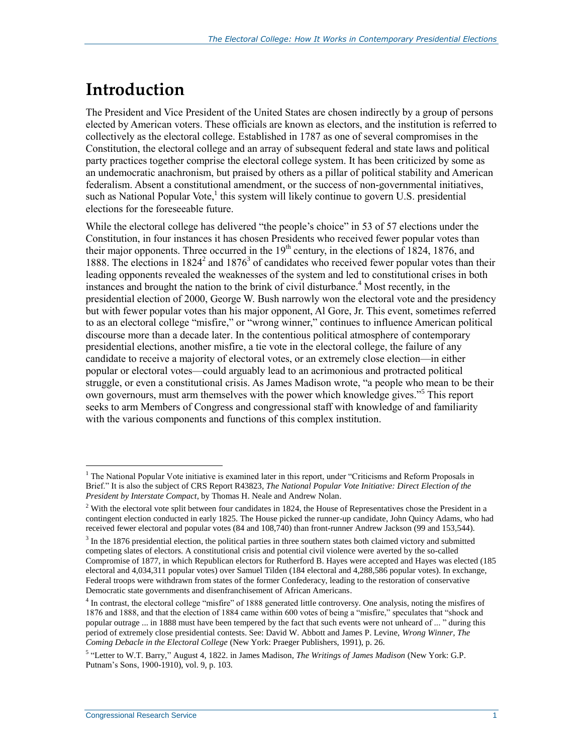## **Introduction**

The President and Vice President of the United States are chosen indirectly by a group of persons elected by American voters. These officials are known as electors, and the institution is referred to collectively as the electoral college. Established in 1787 as one of several compromises in the Constitution, the electoral college and an array of subsequent federal and state laws and political party practices together comprise the electoral college system. It has been criticized by some as an undemocratic anachronism, but praised by others as a pillar of political stability and American federalism. Absent a constitutional amendment, or the success of non-governmental initiatives, such as National Popular Vote,<sup>1</sup> this system will likely continue to govern U.S. presidential elections for the foreseeable future.

While the electoral college has delivered "the people's choice" in 53 of 57 elections under the Constitution, in four instances it has chosen Presidents who received fewer popular votes than their major opponents. Three occurred in the  $19<sup>th</sup>$  century, in the elections of 1824, 1876, and 1888. The elections in  $1824<sup>2</sup>$  and  $1876<sup>3</sup>$  of candidates who received fewer popular votes than their leading opponents revealed the weaknesses of the system and led to constitutional crises in both instances and brought the nation to the brink of civil disturbance. <sup>4</sup> Most recently, in the presidential election of 2000, George W. Bush narrowly won the electoral vote and the presidency but with fewer popular votes than his major opponent, Al Gore, Jr. This event, sometimes referred to as an electoral college "misfire," or "wrong winner," continues to influence American political discourse more than a decade later. In the contentious political atmosphere of contemporary presidential elections, another misfire, a tie vote in the electoral college, the failure of any candidate to receive a majority of electoral votes, or an extremely close election—in either popular or electoral votes—could arguably lead to an acrimonious and protracted political struggle, or even a constitutional crisis. As James Madison wrote, "a people who mean to be their own governours, must arm themselves with the power which knowledge gives."<sup>5</sup> This report seeks to arm Members of Congress and congressional staff with knowledge of and familiarity with the various components and functions of this complex institution.

<sup>&</sup>lt;sup>1</sup> The National Popular Vote initiative is examined later in this report, under "Criticisms and Reform Proposals in Brief." It is also the subject of CRS Report R43823, *The National Popular Vote Initiative: Direct Election of the President by Interstate Compact*, by Thomas H. Neale and Andrew Nolan.

 $2$  With the electoral vote split between four candidates in 1824, the House of Representatives chose the President in a contingent election conducted in early 1825. The House picked the runner-up candidate, John Quincy Adams, who had received fewer electoral and popular votes (84 and 108,740) than front-runner Andrew Jackson (99 and 153,544).

 $3$  In the 1876 presidential election, the political parties in three southern states both claimed victory and submitted competing slates of electors. A constitutional crisis and potential civil violence were averted by the so-called Compromise of 1877, in which Republican electors for Rutherford B. Hayes were accepted and Hayes was elected (185 electoral and 4,034,311 popular votes) over Samuel Tilden (184 electoral and 4,288,586 popular votes). In exchange, Federal troops were withdrawn from states of the former Confederacy, leading to the restoration of conservative Democratic state governments and disenfranchisement of African Americans.

<sup>&</sup>lt;sup>4</sup> In contrast, the electoral college "misfire" of 1888 generated little controversy. One analysis, noting the misfires of 1876 and 1888, and that the election of 1884 came within 600 votes of being a "misfire," speculates that "shock and popular outrage ... in 1888 must have been tempered by the fact that such events were not unheard of ... " during this period of extremely close presidential contests. See: David W. Abbott and James P. Levine, *Wrong Winner, The Coming Debacle in the Electoral College* (New York: Praeger Publishers, 1991), p. 26.

<sup>5</sup> "Letter to W.T. Barry," August 4, 1822. in James Madison, *The Writings of James Madison* (New York: G.P. Putnam's Sons, 1900-1910), vol. 9, p. 103.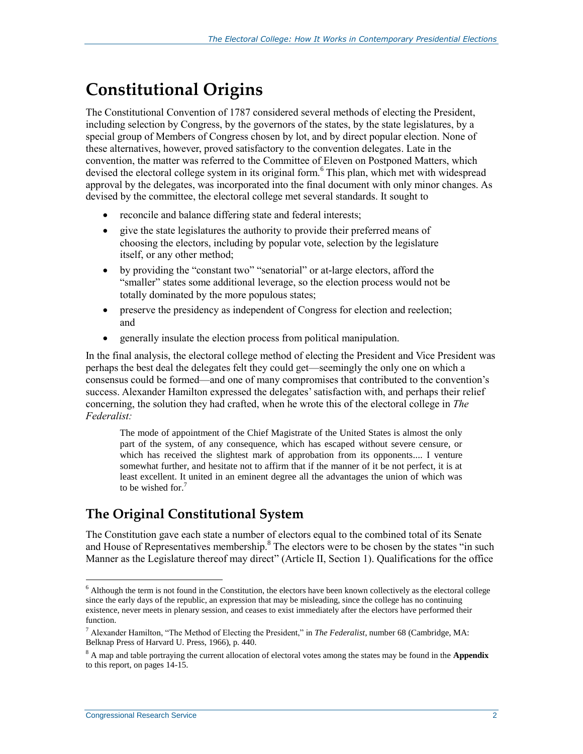## **Constitutional Origins**

The Constitutional Convention of 1787 considered several methods of electing the President, including selection by Congress, by the governors of the states, by the state legislatures, by a special group of Members of Congress chosen by lot, and by direct popular election. None of these alternatives, however, proved satisfactory to the convention delegates. Late in the convention, the matter was referred to the Committee of Eleven on Postponed Matters, which devised the electoral college system in its original form.<sup>6</sup> This plan, which met with widespread approval by the delegates, was incorporated into the final document with only minor changes. As devised by the committee, the electoral college met several standards. It sought to

- reconcile and balance differing state and federal interests;
- give the state legislatures the authority to provide their preferred means of choosing the electors, including by popular vote, selection by the legislature itself, or any other method;
- by providing the "constant two" "senatorial" or at-large electors, afford the "smaller" states some additional leverage, so the election process would not be totally dominated by the more populous states;
- preserve the presidency as independent of Congress for election and reelection; and
- generally insulate the election process from political manipulation.

In the final analysis, the electoral college method of electing the President and Vice President was perhaps the best deal the delegates felt they could get—seemingly the only one on which a consensus could be formed—and one of many compromises that contributed to the convention's success. Alexander Hamilton expressed the delegates'satisfaction with, and perhaps their relief concerning, the solution they had crafted, when he wrote this of the electoral college in *The Federalist:*

The mode of appointment of the Chief Magistrate of the United States is almost the only part of the system, of any consequence, which has escaped without severe censure, or which has received the slightest mark of approbation from its opponents.... I venture somewhat further, and hesitate not to affirm that if the manner of it be not perfect, it is at least excellent. It united in an eminent degree all the advantages the union of which was to be wished for. $7$ 

## **The Original Constitutional System**

The Constitution gave each state a number of electors equal to the combined total of its Senate and House of Representatives membership. $8$  The electors were to be chosen by the states "in such Manner as the Legislature thereof may direct" (Article II, Section 1). Qualifications for the office

 $6$  Although the term is not found in the Constitution, the electors have been known collectively as the electoral college since the early days of the republic, an expression that may be misleading, since the college has no continuing existence, never meets in plenary session, and ceases to exist immediately after the electors have performed their function.

<sup>7</sup> Alexander Hamilton, "The Method of Electing the President," in *The Federalist*, number 68 (Cambridge, MA: Belknap Press of Harvard U. Press, 1966), p. 440.

<sup>8</sup> A map and table portraying the current allocation of electoral votes among the states may be found in the **[Appendix](#page-19-0)** to this report, on pages 14-15.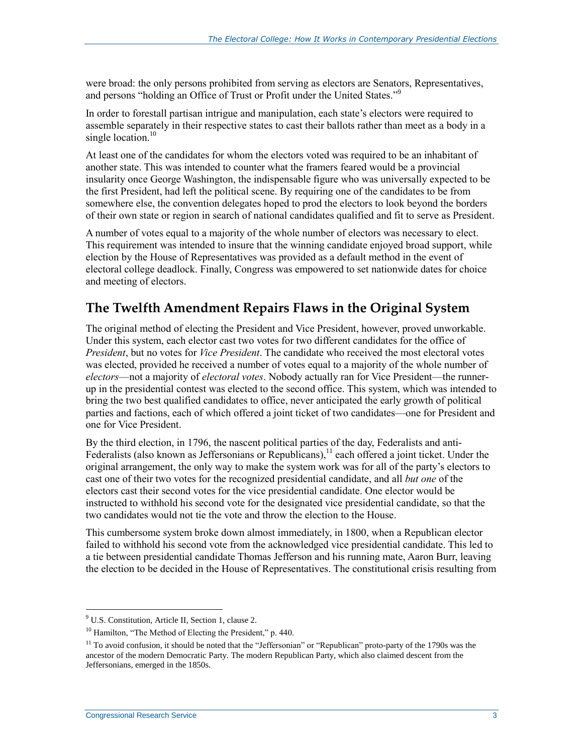were broad: the only persons prohibited from serving as electors are Senators, Representatives, and persons "holding an Office of Trust or Profit under the United States."<sup>9</sup>

In order to forestall partisan intrigue and manipulation, each state's electors were required to assemble separately in their respective states to cast their ballots rather than meet as a body in a single location. $10$ 

At least one of the candidates for whom the electors voted was required to be an inhabitant of another state. This was intended to counter what the framers feared would be a provincial insularity once George Washington, the indispensable figure who was universally expected to be the first President, had left the political scene. By requiring one of the candidates to be from somewhere else, the convention delegates hoped to prod the electors to look beyond the borders of their own state or region in search of national candidates qualified and fit to serve as President.

A number of votes equal to a majority of the whole number of electors was necessary to elect. This requirement was intended to insure that the winning candidate enjoyed broad support, while election by the House of Representatives was provided as a default method in the event of electoral college deadlock. Finally, Congress was empowered to set nationwide dates for choice and meeting of electors.

### **The Twelfth Amendment Repairs Flaws in the Original System**

The original method of electing the President and Vice President, however, proved unworkable. Under this system, each elector cast two votes for two different candidates for the office of *President*, but no votes for *Vice President*. The candidate who received the most electoral votes was elected, provided he received a number of votes equal to a majority of the whole number of *electors*—not a majority of *electoral votes*. Nobody actually ran for Vice President—the runnerup in the presidential contest was elected to the second office. This system, which was intended to bring the two best qualified candidates to office, never anticipated the early growth of political parties and factions, each of which offered a joint ticket of two candidates—one for President and one for Vice President.

By the third election, in 1796, the nascent political parties of the day, Federalists and anti-Federalists (also known as Jeffersonians or Republicans),<sup>11</sup> each offered a joint ticket. Under the original arrangement, the only way to make the system work was for all of the party's electors to cast one of their two votes for the recognized presidential candidate, and all *but one* of the electors cast their second votes for the vice presidential candidate. One elector would be instructed to withhold his second vote for the designated vice presidential candidate, so that the two candidates would not tie the vote and throw the election to the House.

This cumbersome system broke down almost immediately, in 1800, when a Republican elector failed to withhold his second vote from the acknowledged vice presidential candidate. This led to a tie between presidential candidate Thomas Jefferson and his running mate, Aaron Burr, leaving the election to be decided in the House of Representatives. The constitutional crisis resulting from

 $9^9$  U.S. Constitution, Article II, Section 1, clause 2.

<sup>&</sup>lt;sup>10</sup> Hamilton, "The Method of Electing the President," p. 440.

 $11$  To avoid confusion, it should be noted that the "Jeffersonian" or "Republican" proto-party of the 1790s was the ancestor of the modern Democratic Party. The modern Republican Party, which also claimed descent from the Jeffersonians, emerged in the 1850s.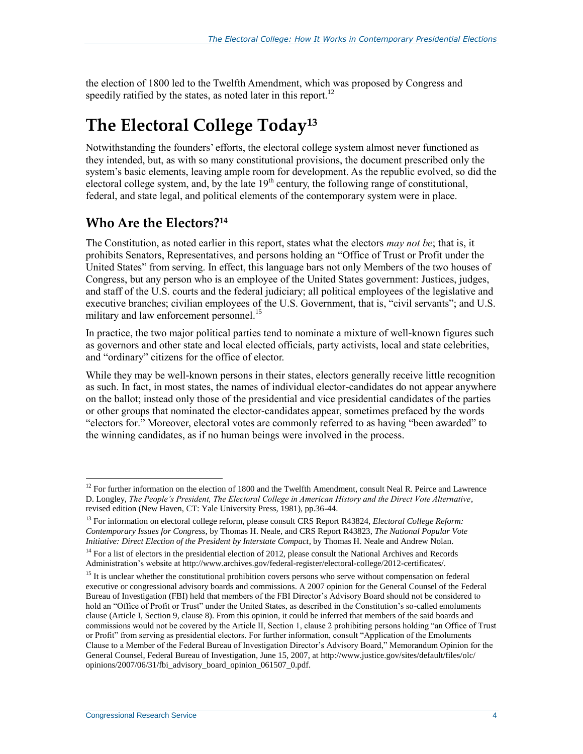the election of 1800 led to the Twelfth Amendment, which was proposed by Congress and speedily ratified by the states, as noted later in this report.<sup>12</sup>

## **The Electoral College Today<sup>13</sup>**

Notwithstanding the founders' efforts, the electoral college system almost never functioned as they intended, but, as with so many constitutional provisions, the document prescribed only the system's basic elements, leaving ample room for development. As the republic evolved, so did the electoral college system, and, by the late  $19<sup>th</sup>$  century, the following range of constitutional, federal, and state legal, and political elements of the contemporary system were in place.

### **Who Are the Electors?<sup>14</sup>**

The Constitution, as noted earlier in this report, states what the electors *may not be*; that is, it prohibits Senators, Representatives, and persons holding an "Office of Trust or Profit under the United States" from serving. In effect, this language bars not only Members of the two houses of Congress, but any person who is an employee of the United States government: Justices, judges, and staff of the U.S. courts and the federal judiciary; all political employees of the legislative and executive branches; civilian employees of the U.S. Government, that is, "civil servants"; and U.S. military and law enforcement personnel.<sup>15</sup>

In practice, the two major political parties tend to nominate a mixture of well-known figures such as governors and other state and local elected officials, party activists, local and state celebrities, and "ordinary" citizens for the office of elector.

While they may be well-known persons in their states, electors generally receive little recognition as such. In fact, in most states, the names of individual elector-candidates do not appear anywhere on the ballot; instead only those of the presidential and vice presidential candidates of the parties or other groups that nominated the elector-candidates appear, sometimes prefaced by the words "electors for." Moreover, electoral votes are commonly referred to as having "been awarded" to the winning candidates, as if no human beings were involved in the process.

<sup>&</sup>lt;sup>12</sup> For further information on the election of 1800 and the Twelfth Amendment, consult Neal R. Peirce and Lawrence D. Longley, *The People's President, The Electoral College in American History and the Direct Vote Alternative*, revised edition (New Haven, CT: Yale University Press, 1981), pp.36-44.

<sup>13</sup> For information on electoral college reform, please consult CRS Report R43824, *Electoral College Reform: Contemporary Issues for Congress*, by Thomas H. Neale, and CRS Report R43823, *The National Popular Vote Initiative: Direct Election of the President by Interstate Compact*, by Thomas H. Neale and Andrew Nolan.

<sup>&</sup>lt;sup>14</sup> For a list of electors in the presidential election of 2012, please consult the National Archives and Records Administration's website at http://www.archives.gov/federal-register/electoral-college/2012-certificates/.

<sup>&</sup>lt;sup>15</sup> It is unclear whether the constitutional prohibition covers persons who serve without compensation on federal executive or congressional advisory boards and commissions. A 2007 opinion for the General Counsel of the Federal Bureau of Investigation (FBI) held that members of the FBI Director's Advisory Board should not be considered to hold an "Office of Profit or Trust" under the United States, as described in the Constitution's so-called emoluments clause (Article I, Section 9, clause 8). From this opinion, it could be inferred that members of the said boards and commissions would not be covered by the Article II, Section 1, clause 2 prohibiting persons holding "an Office of Trust or Profit" from serving as presidential electors. For further information, consult "Application of the Emoluments Clause to a Member of the Federal Bureau of Investigation Director's Advisory Board," Memorandum Opinion for the General Counsel, Federal Bureau of Investigation, June 15, 2007, at http://www.justice.gov/sites/default/files/olc/ opinions/2007/06/31/fbi\_advisory\_board\_opinion\_061507\_0.pdf.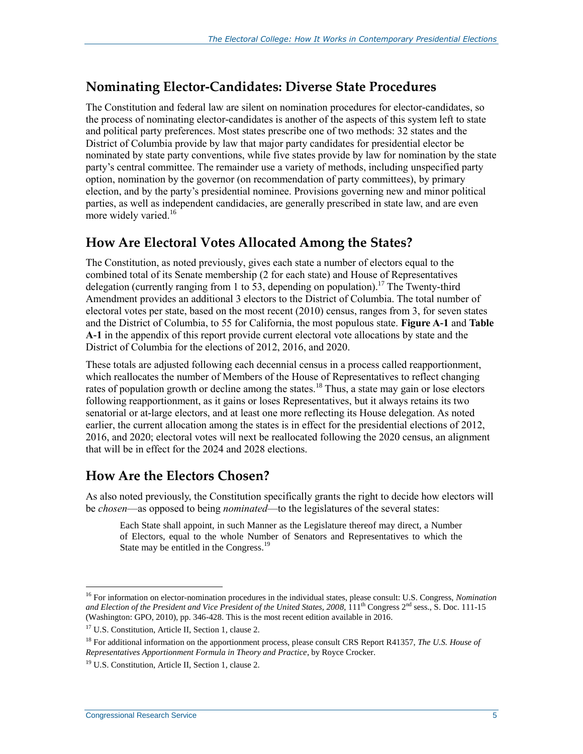### **Nominating Elector-Candidates: Diverse State Procedures**

The Constitution and federal law are silent on nomination procedures for elector-candidates, so the process of nominating elector-candidates is another of the aspects of this system left to state and political party preferences. Most states prescribe one of two methods: 32 states and the District of Columbia provide by law that major party candidates for presidential elector be nominated by state party conventions, while five states provide by law for nomination by the state party's central committee. The remainder use a variety of methods, including unspecified party option, nomination by the governor (on recommendation of party committees), by primary election, and by the party's presidential nominee. Provisions governing new and minor political parties, as well as independent candidacies, are generally prescribed in state law, and are even more widely varied.<sup>16</sup>

### **How Are Electoral Votes Allocated Among the States?**

The Constitution, as noted previously, gives each state a number of electors equal to the combined total of its Senate membership (2 for each state) and House of Representatives delegation (currently ranging from 1 to 53, depending on population).<sup>17</sup> The Twenty-third Amendment provides an additional 3 electors to the District of Columbia. The total number of electoral votes per state, based on the most recent (2010) census, ranges from 3, for seven states and the District of Columbia, to 55 for California, the most populous state. **[Figure A-1](#page-19-1)** and **[Table](#page-19-2)  [A-1](#page-19-2)** in the appendix of this report provide current electoral vote allocations by state and the District of Columbia for the elections of 2012, 2016, and 2020.

These totals are adjusted following each decennial census in a process called reapportionment, which reallocates the number of Members of the House of Representatives to reflect changing rates of population growth or decline among the states.<sup>18</sup> Thus, a state may gain or lose electors following reapportionment, as it gains or loses Representatives, but it always retains its two senatorial or at-large electors, and at least one more reflecting its House delegation. As noted earlier, the current allocation among the states is in effect for the presidential elections of 2012, 2016, and 2020; electoral votes will next be reallocated following the 2020 census, an alignment that will be in effect for the 2024 and 2028 elections.

### **How Are the Electors Chosen?**

As also noted previously, the Constitution specifically grants the right to decide how electors will be *chosen*—as opposed to being *nominated*—to the legislatures of the several states:

Each State shall appoint, in such Manner as the Legislature thereof may direct, a Number of Electors, equal to the whole Number of Senators and Representatives to which the State may be entitled in the Congress.<sup>19</sup>

<sup>16</sup> For information on elector-nomination procedures in the individual states, please consult: U.S. Congress, *Nomination*  and Election of the President and Vice President of the United States, 2008, 111<sup>th</sup> Congress 2<sup>nd</sup> sess., S. Doc. 111-15 (Washington: GPO, 2010), pp. 346-428. This is the most recent edition available in 2016.

<sup>&</sup>lt;sup>17</sup> U.S. Constitution, Article II, Section 1, clause 2.

<sup>18</sup> For additional information on the apportionment process, please consult CRS Report R41357, *The U.S. House of Representatives Apportionment Formula in Theory and Practice*, by Royce Crocker.

<sup>&</sup>lt;sup>19</sup> U.S. Constitution, Article II, Section 1, clause 2.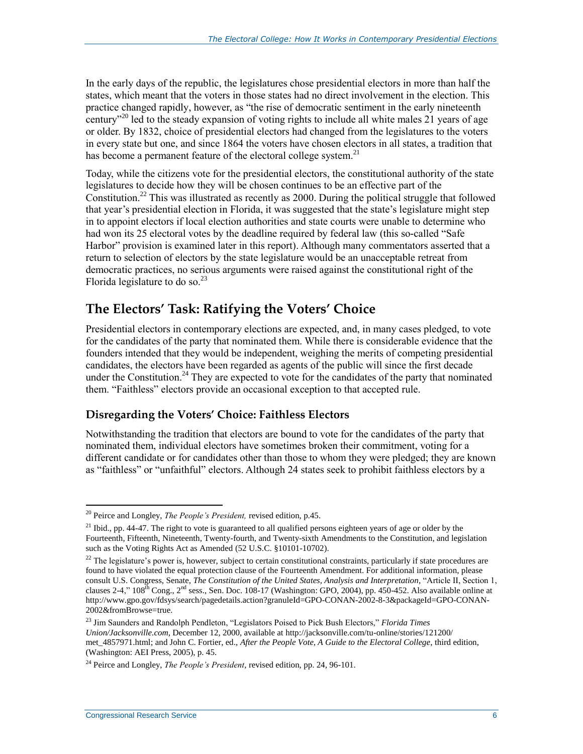In the early days of the republic, the legislatures chose presidential electors in more than half the states, which meant that the voters in those states had no direct involvement in the election. This practice changed rapidly, however, as "the rise of democratic sentiment in the early nineteenth century<sup> $20$ </sup> led to the steady expansion of voting rights to include all white males 21 years of age or older. By 1832, choice of presidential electors had changed from the legislatures to the voters in every state but one, and since 1864 the voters have chosen electors in all states, a tradition that has become a permanent feature of the electoral college system.<sup>21</sup>

Today, while the citizens vote for the presidential electors, the constitutional authority of the state legislatures to decide how they will be chosen continues to be an effective part of the Constitution.<sup>22</sup> This was illustrated as recently as 2000. During the political struggle that followed that year's presidential election in Florida, it was suggested that the state's legislature might step in to appoint electors if local election authorities and state courts were unable to determine who had won its 25 electoral votes by the deadline required by federal law (this so-called "Safe Harbor" provision is examined later in this report). Although many commentators asserted that a return to selection of electors by the state legislature would be an unacceptable retreat from democratic practices, no serious arguments were raised against the constitutional right of the Florida legislature to do so. $^{23}$ 

### **The Electors' Task: Ratifying the Voters' Choice**

Presidential electors in contemporary elections are expected, and, in many cases pledged, to vote for the candidates of the party that nominated them. While there is considerable evidence that the founders intended that they would be independent, weighing the merits of competing presidential candidates, the electors have been regarded as agents of the public will since the first decade under the Constitution.<sup>24</sup> They are expected to vote for the candidates of the party that nominated them. "Faithless" electors provide an occasional exception to that accepted rule.

#### **Disregarding the Voters' Choice: Faithless Electors**

Notwithstanding the tradition that electors are bound to vote for the candidates of the party that nominated them, individual electors have sometimes broken their commitment, voting for a different candidate or for candidates other than those to whom they were pledged; they are known as "faithless" or "unfaithful" electors. Although 24 states seek to prohibit faithless electors by a

 $\overline{a}$ <sup>20</sup> Peirce and Longley, *The People's President,* revised edition, p.45.

<sup>&</sup>lt;sup>21</sup> Ibid., pp. 44-47. The right to vote is guaranteed to all qualified persons eighteen years of age or older by the Fourteenth, Fifteenth, Nineteenth, Twenty-fourth, and Twenty-sixth Amendments to the Constitution, and legislation such as the Voting Rights Act as Amended (52 U.S.C. §10101-10702).

 $^{22}$  The legislature's power is, however, subject to certain constitutional constraints, particularly if state procedures are found to have violated the equal protection clause of the Fourteenth Amendment. For additional information, please consult U.S. Congress, Senate, *The Constitution of the United States, Analysis and Interpretation*, "Article II, Section 1, clauses 2-4,"  $108^{th}$  Cong.,  $2^{nd}$  sess., Sen. Doc.  $108-17$  (Washington: GPO, 2004), pp. 450-452. Also available online at http://www.gpo.gov/fdsys/search/pagedetails.action?granuleId=GPO-CONAN-2002-8-3&packageId=GPO-CONAN-2002&fromBrowse=true.

<sup>23</sup> Jim Saunders and Randolph Pendleton, "Legislators Poised to Pick Bush Electors," *Florida Times Union/Jacksonville.com*, December 12, 2000, available at http://jacksonville.com/tu-online/stories/121200/ met\_4857971.html; and John C. Fortier, ed., *After the People Vote, A Guide to the Electoral College*, third edition, (Washington: AEI Press, 2005), p. 45.

<sup>24</sup> Peirce and Longley, *The People's President*, revised edition, pp. 24, 96-101.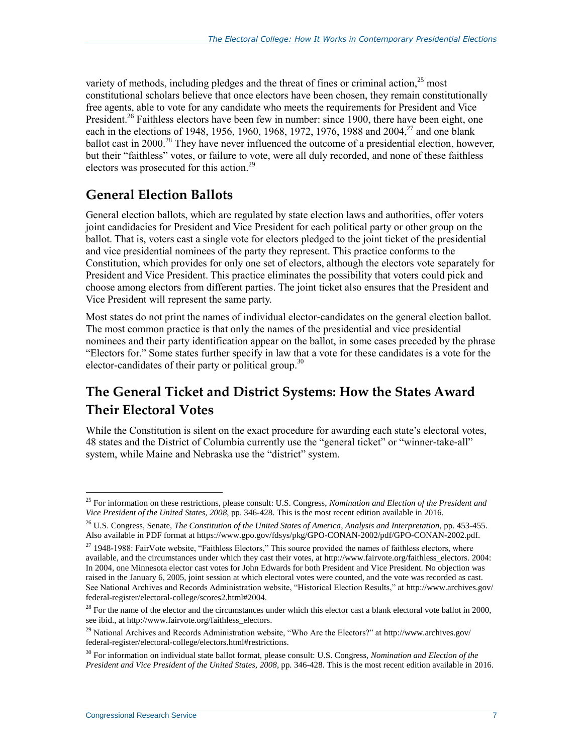variety of methods, including pledges and the threat of fines or criminal action, $^{25}$  most constitutional scholars believe that once electors have been chosen, they remain constitutionally free agents, able to vote for any candidate who meets the requirements for President and Vice President.<sup>26</sup> Faithless electors have been few in number: since 1900, there have been eight, one each in the elections of 1948, 1956, 1960, 1968, 1972, 1976, 1988 and 2004,<sup>27</sup> and one blank ballot cast in 2000.<sup>28</sup> They have never influenced the outcome of a presidential election, however, but their "faithless" votes, or failure to vote, were all duly recorded, and none of these faithless electors was prosecuted for this action.<sup>29</sup>

## **General Election Ballots**

General election ballots, which are regulated by state election laws and authorities, offer voters joint candidacies for President and Vice President for each political party or other group on the ballot. That is, voters cast a single vote for electors pledged to the joint ticket of the presidential and vice presidential nominees of the party they represent. This practice conforms to the Constitution, which provides for only one set of electors, although the electors vote separately for President and Vice President. This practice eliminates the possibility that voters could pick and choose among electors from different parties. The joint ticket also ensures that the President and Vice President will represent the same party.

Most states do not print the names of individual elector-candidates on the general election ballot. The most common practice is that only the names of the presidential and vice presidential nominees and their party identification appear on the ballot, in some cases preceded by the phrase "Electors for." Some states further specify in law that a vote for these candidates is a vote for the elector-candidates of their party or political group.<sup>30</sup>

## **The General Ticket and District Systems: How the States Award Their Electoral Votes**

While the Constitution is silent on the exact procedure for awarding each state's electoral votes, 48 states and the District of Columbia currently use the "general ticket" or "winner-take-all" system, while Maine and Nebraska use the "district" system.

<sup>25</sup> For information on these restrictions, please consult: U.S. Congress, *Nomination and Election of the President and Vice President of the United States, 2008*, pp. 346-428. This is the most recent edition available in 2016.

<sup>26</sup> U.S. Congress, Senate, *The Constitution of the United States of America, Analysis and Interpretation*, pp. 453-455. Also available in PDF format at https://www.gpo.gov/fdsys/pkg/GPO-CONAN-2002/pdf/GPO-CONAN-2002.pdf.

<sup>&</sup>lt;sup>27</sup> 1948-1988: FairVote website, "Faithless Electors," This source provided the names of faithless electors, where available, and the circumstances under which they cast their votes, at http://www.fairvote.org/faithless\_electors. 2004: In 2004, one Minnesota elector cast votes for John Edwards for both President and Vice President. No objection was raised in the January 6, 2005, joint session at which electoral votes were counted, and the vote was recorded as cast. See National Archives and Records Administration website, "Historical Election Results," at http://www.archives.gov/ federal-register/electoral-college/scores2.html#2004.

 $^{28}$  For the name of the elector and the circumstances under which this elector cast a blank electoral vote ballot in 2000, see ibid., at http://www.fairvote.org/faithless\_electors.

<sup>&</sup>lt;sup>29</sup> National Archives and Records Administration website, "Who Are the Electors?" at http://www.archives.gov/ federal-register/electoral-college/electors.html#restrictions.

<sup>30</sup> For information on individual state ballot format, please consult: U.S. Congress, *Nomination and Election of the President and Vice President of the United States, 2008*, pp. 346-428. This is the most recent edition available in 2016.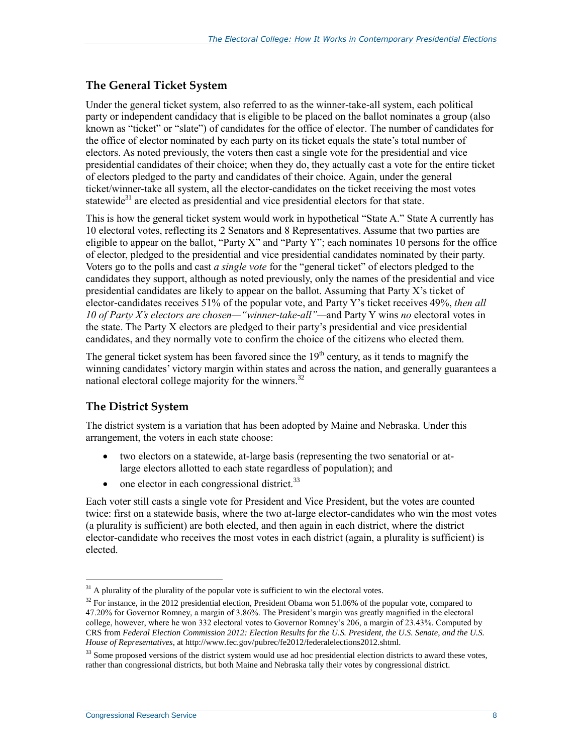#### **The General Ticket System**

Under the general ticket system, also referred to as the winner-take-all system, each political party or independent candidacy that is eligible to be placed on the ballot nominates a group (also known as "ticket" or "slate") of candidates for the office of elector. The number of candidates for the office of elector nominated by each party on its ticket equals the state's total number of electors. As noted previously, the voters then cast a single vote for the presidential and vice presidential candidates of their choice; when they do, they actually cast a vote for the entire ticket of electors pledged to the party and candidates of their choice. Again, under the general ticket/winner-take all system, all the elector-candidates on the ticket receiving the most votes statewide<sup>31</sup> are elected as presidential and vice presidential electors for that state.

This is how the general ticket system would work in hypothetical "State A." State A currently has 10 electoral votes, reflecting its 2 Senators and 8 Representatives. Assume that two parties are eligible to appear on the ballot, "Party X" and "Party Y"; each nominates 10 persons for the office of elector, pledged to the presidential and vice presidential candidates nominated by their party. Voters go to the polls and cast *a single vote* for the "general ticket" of electors pledged to the candidates they support, although as noted previously, only the names of the presidential and vice presidential candidates are likely to appear on the ballot. Assuming that Party X's ticket of elector-candidates receives 51% of the popular vote, and Party Y's ticket receives 49%, *then all 10 of Party X's electors are chosen—"winner-take-all"—*and Party Y wins *no* electoral votes in the state. The Party X electors are pledged to their party's presidential and vice presidential candidates, and they normally vote to confirm the choice of the citizens who elected them.

The general ticket system has been favored since the  $19<sup>th</sup>$  century, as it tends to magnify the winning candidates' victory margin within states and across the nation, and generally guarantees a national electoral college majority for the winners.<sup>32</sup>

#### **The District System**

The district system is a variation that has been adopted by Maine and Nebraska. Under this arrangement, the voters in each state choose:

- two electors on a statewide, at-large basis (representing the two senatorial or atlarge electors allotted to each state regardless of population); and
- $\bullet$  one elector in each congressional district.<sup>33</sup>

Each voter still casts a single vote for President and Vice President, but the votes are counted twice: first on a statewide basis, where the two at-large elector-candidates who win the most votes (a plurality is sufficient) are both elected, and then again in each district, where the district elector-candidate who receives the most votes in each district (again, a plurality is sufficient) is elected.

 $31$  A plurality of the plurality of the popular vote is sufficient to win the electoral votes.

<sup>&</sup>lt;sup>32</sup> For instance, in the 2012 presidential election, President Obama won 51.06% of the popular vote, compared to 47.20% for Governor Romney, a margin of 3.86%. The President's margin was greatly magnified in the electoral college, however, where he won 332 electoral votes to Governor Romney's 206, a margin of 23.43%. Computed by CRS from *Federal Election Commission 2012: Election Results for the U.S. President, the U.S. Senate, and the U.S. House of Representatives*, at http://www.fec.gov/pubrec/fe2012/federalelections2012.shtml.

<sup>&</sup>lt;sup>33</sup> Some proposed versions of the district system would use ad hoc presidential election districts to award these votes, rather than congressional districts, but both Maine and Nebraska tally their votes by congressional district.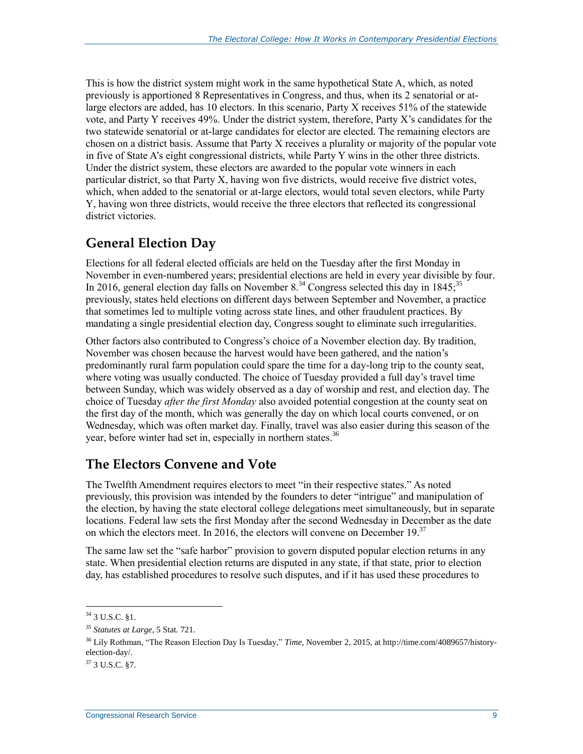This is how the district system might work in the same hypothetical State A, which, as noted previously is apportioned 8 Representatives in Congress, and thus, when its 2 senatorial or atlarge electors are added, has 10 electors. In this scenario, Party X receives 51% of the statewide vote, and Party Y receives 49%. Under the district system, therefore, Party X's candidates for the two statewide senatorial or at-large candidates for elector are elected. The remaining electors are chosen on a district basis. Assume that Party X receives a plurality or majority of the popular vote in five of State A's eight congressional districts, while Party Y wins in the other three districts. Under the district system, these electors are awarded to the popular vote winners in each particular district, so that Party X, having won five districts, would receive five district votes, which, when added to the senatorial or at-large electors, would total seven electors, while Party Y, having won three districts, would receive the three electors that reflected its congressional district victories.

## **General Election Day**

Elections for all federal elected officials are held on the Tuesday after the first Monday in November in even-numbered years; presidential elections are held in every year divisible by four. In 2016, general election day falls on November  $8^{34}$  Congress selected this day in 1845;<sup>35</sup> previously, states held elections on different days between September and November, a practice that sometimes led to multiple voting across state lines, and other fraudulent practices. By mandating a single presidential election day, Congress sought to eliminate such irregularities.

Other factors also contributed to Congress's choice of a November election day. By tradition, November was chosen because the harvest would have been gathered, and the nation's predominantly rural farm population could spare the time for a day-long trip to the county seat, where voting was usually conducted. The choice of Tuesday provided a full day's travel time between Sunday, which was widely observed as a day of worship and rest, and election day. The choice of Tuesday *after the first Monday* also avoided potential congestion at the county seat on the first day of the month, which was generally the day on which local courts convened, or on Wednesday, which was often market day. Finally, travel was also easier during this season of the year, before winter had set in, especially in northern states.<sup>36</sup>

## **The Electors Convene and Vote**

The Twelfth Amendment requires electors to meet "in their respective states." As noted previously, this provision was intended by the founders to deter "intrigue" and manipulation of the election, by having the state electoral college delegations meet simultaneously, but in separate locations. Federal law sets the first Monday after the second Wednesday in December as the date on which the electors meet. In 2016, the electors will convene on December 19.<sup>37</sup>

The same law set the "safe harbor" provision to govern disputed popular election returns in any state. When presidential election returns are disputed in any state, if that state, prior to election day, has established procedures to resolve such disputes, and if it has used these procedures to

 $34$  3 U.S.C. 81.

<sup>35</sup> *Statutes at Large*, 5 Stat. 721.

<sup>36</sup> Lily Rothman, "The Reason Election Day Is Tuesday," *Time*, November 2, 2015, at http://time.com/4089657/historyelection-day/.

 $37$  3 U.S.C. §7.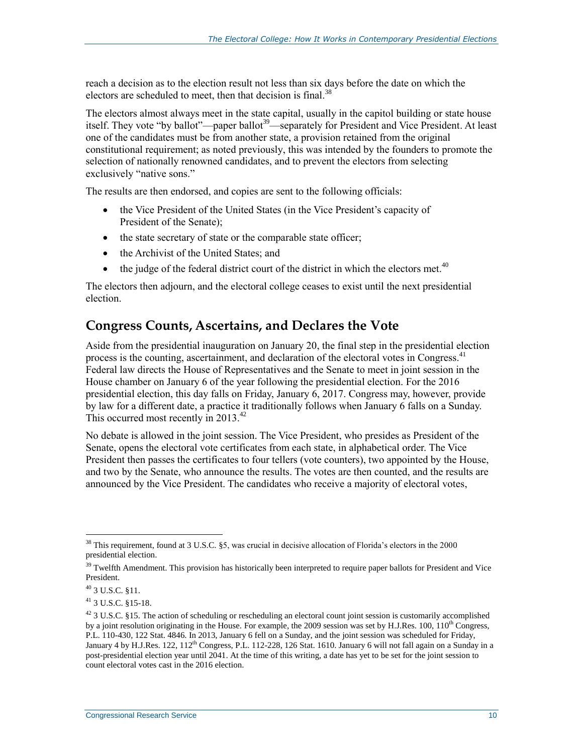reach a decision as to the election result not less than six days before the date on which the electors are scheduled to meet, then that decision is final.<sup>38</sup>

The electors almost always meet in the state capital, usually in the capitol building or state house itself. They vote "by ballot"—paper ballot<sup>39</sup>—separately for President and Vice President. At least one of the candidates must be from another state, a provision retained from the original constitutional requirement; as noted previously, this was intended by the founders to promote the selection of nationally renowned candidates, and to prevent the electors from selecting exclusively "native sons."

The results are then endorsed, and copies are sent to the following officials:

- the Vice President of the United States (in the Vice President's capacity of President of the Senate);
- the state secretary of state or the comparable state officer;
- the Archivist of the United States; and
- $\bullet$  the judge of the federal district court of the district in which the electors met.<sup>40</sup>

The electors then adjourn, and the electoral college ceases to exist until the next presidential election.

#### **Congress Counts, Ascertains, and Declares the Vote**

Aside from the presidential inauguration on January 20, the final step in the presidential election process is the counting, ascertainment, and declaration of the electoral votes in Congress.<sup>41</sup> Federal law directs the House of Representatives and the Senate to meet in joint session in the House chamber on January 6 of the year following the presidential election. For the 2016 presidential election, this day falls on Friday, January 6, 2017. Congress may, however, provide by law for a different date, a practice it traditionally follows when January 6 falls on a Sunday. This occurred most recently in  $2013^{42}$ .

No debate is allowed in the joint session. The Vice President, who presides as President of the Senate, opens the electoral vote certificates from each state, in alphabetical order. The Vice President then passes the certificates to four tellers (vote counters), two appointed by the House, and two by the Senate, who announce the results. The votes are then counted, and the results are announced by the Vice President. The candidates who receive a majority of electoral votes,

 $38$  This requirement, found at 3 U.S.C. §5, was crucial in decisive allocation of Florida's electors in the 2000 presidential election.

<sup>&</sup>lt;sup>39</sup> Twelfth Amendment. This provision has historically been interpreted to require paper ballots for President and Vice President.

<sup>40</sup> 3 U.S.C. §11.

<sup>41</sup> 3 U.S.C. §15-18.

 $42$  3 U.S.C. §15. The action of scheduling or rescheduling an electoral count joint session is customarily accomplished by a joint resolution originating in the House. For example, the 2009 session was set by H.J.Res. 100,  $110^{th}$  Congress, P.L. 110-430, 122 Stat. 4846. In 2013, January 6 fell on a Sunday, and the joint session was scheduled for Friday, January 4 by H.J.Res. 122,  $112^{th}$  Congress, P.L. 112-228, 126 Stat. 1610. January 6 will not fall again on a Sunday in a post-presidential election year until 2041. At the time of this writing, a date has yet to be set for the joint session to count electoral votes cast in the 2016 election.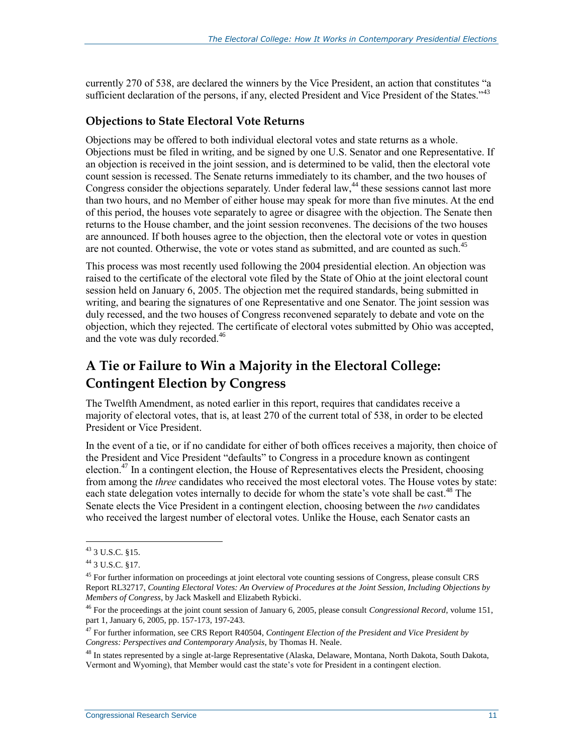currently 270 of 538, are declared the winners by the Vice President, an action that constitutes "a sufficient declaration of the persons, if any, elected President and Vice President of the States."<sup>43</sup>

#### **Objections to State Electoral Vote Returns**

Objections may be offered to both individual electoral votes and state returns as a whole. Objections must be filed in writing, and be signed by one U.S. Senator and one Representative. If an objection is received in the joint session, and is determined to be valid, then the electoral vote count session is recessed. The Senate returns immediately to its chamber, and the two houses of Congress consider the objections separately. Under federal law,<sup>44</sup> these sessions cannot last more than two hours, and no Member of either house may speak for more than five minutes. At the end of this period, the houses vote separately to agree or disagree with the objection. The Senate then returns to the House chamber, and the joint session reconvenes. The decisions of the two houses are announced. If both houses agree to the objection, then the electoral vote or votes in question are not counted. Otherwise, the vote or votes stand as submitted, and are counted as such.<sup>45</sup>

This process was most recently used following the 2004 presidential election. An objection was raised to the certificate of the electoral vote filed by the State of Ohio at the joint electoral count session held on January 6, 2005. The objection met the required standards, being submitted in writing, and bearing the signatures of one Representative and one Senator. The joint session was duly recessed, and the two houses of Congress reconvened separately to debate and vote on the objection, which they rejected. The certificate of electoral votes submitted by Ohio was accepted, and the vote was duly recorded.<sup>46</sup>

## **A Tie or Failure to Win a Majority in the Electoral College: Contingent Election by Congress**

The Twelfth Amendment, as noted earlier in this report, requires that candidates receive a majority of electoral votes, that is, at least 270 of the current total of 538, in order to be elected President or Vice President.

In the event of a tie, or if no candidate for either of both offices receives a majority, then choice of the President and Vice President "defaults" to Congress in a procedure known as contingent election.<sup>47</sup> In a contingent election, the House of Representatives elects the President, choosing from among the *three* candidates who received the most electoral votes. The House votes by state: each state delegation votes internally to decide for whom the state's vote shall be cast.<sup>48</sup> The Senate elects the Vice President in a contingent election, choosing between the *two* candidates who received the largest number of electoral votes. Unlike the House, each Senator casts an

 $43$  3 U.S.C. §15.

<sup>44</sup> 3 U.S.C. §17.

<sup>&</sup>lt;sup>45</sup> For further information on proceedings at joint electoral vote counting sessions of Congress, please consult CRS Report RL32717, *Counting Electoral Votes: An Overview of Procedures at the Joint Session, Including Objections by Members of Congress*, by Jack Maskell and Elizabeth Rybicki.

<sup>46</sup> For the proceedings at the joint count session of January 6, 2005, please consult *Congressional Record*, volume 151, part 1, January 6, 2005, pp. 157-173, 197-243.

<sup>47</sup> For further information, see CRS Report R40504, *Contingent Election of the President and Vice President by Congress: Perspectives and Contemporary Analysis*, by Thomas H. Neale.

<sup>&</sup>lt;sup>48</sup> In states represented by a single at-large Representative (Alaska, Delaware, Montana, North Dakota, South Dakota, Vermont and Wyoming), that Member would cast the state's vote for President in a contingent election.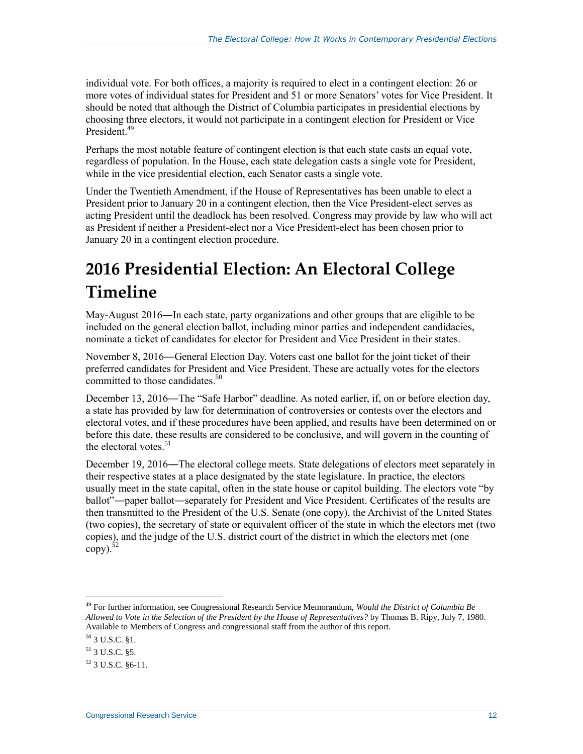individual vote. For both offices, a majority is required to elect in a contingent election: 26 or more votes of individual states for President and 51 or more Senators' votes for Vice President. It should be noted that although the District of Columbia participates in presidential elections by choosing three electors, it would not participate in a contingent election for President or Vice President.<sup>49</sup>

Perhaps the most notable feature of contingent election is that each state casts an equal vote, regardless of population. In the House, each state delegation casts a single vote for President, while in the vice presidential election, each Senator casts a single vote.

Under the Twentieth Amendment, if the House of Representatives has been unable to elect a President prior to January 20 in a contingent election, then the Vice President-elect serves as acting President until the deadlock has been resolved. Congress may provide by law who will act as President if neither a President-elect nor a Vice President-elect has been chosen prior to January 20 in a contingent election procedure.

## **2016 Presidential Election: An Electoral College Timeline**

May-August 2016―In each state, party organizations and other groups that are eligible to be included on the general election ballot, including minor parties and independent candidacies, nominate a ticket of candidates for elector for President and Vice President in their states.

November 8, 2016―General Election Day. Voters cast one ballot for the joint ticket of their preferred candidates for President and Vice President. These are actually votes for the electors committed to those candidates.<sup>50</sup>

December 13, 2016―The "Safe Harbor" deadline. As noted earlier, if, on or before election day, a state has provided by law for determination of controversies or contests over the electors and electoral votes, and if these procedures have been applied, and results have been determined on or before this date, these results are considered to be conclusive, and will govern in the counting of the electoral votes. $51$ 

December 19, 2016―The electoral college meets. State delegations of electors meet separately in their respective states at a place designated by the state legislature. In practice, the electors usually meet in the state capital, often in the state house or capitol building. The electors vote "by ballot"―paper ballot―separately for President and Vice President. Certificates of the results are then transmitted to the President of the U.S. Senate (one copy), the Archivist of the United States (two copies), the secretary of state or equivalent officer of the state in which the electors met (two copies), and the judge of the U.S. district court of the district in which the electors met (one  $\text{copy})$ .<sup>52</sup>

<sup>49</sup> For further information, see Congressional Research Service Memorandum, *Would the District of Columbia Be Allowed to Vote in the Selection of the President by the House of Representatives?* by Thomas B. Ripy, July 7, 1980. Available to Members of Congress and congressional staff from the author of this report.

<sup>50</sup> 3 U.S.C. §1.

<sup>51</sup> 3 U.S.C. §5.

 $52$  3 U.S.C.  $86-11$ .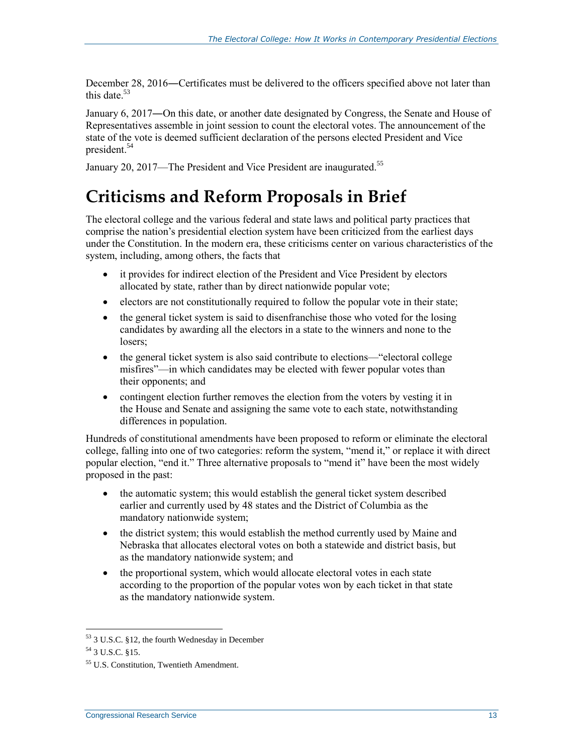December 28, 2016―Certificates must be delivered to the officers specified above not later than this date. 53

January 6, 2017―On this date, or another date designated by Congress, the Senate and House of Representatives assemble in joint session to count the electoral votes. The announcement of the state of the vote is deemed sufficient declaration of the persons elected President and Vice president.<sup>54</sup>

January 20, 2017—The President and Vice President are inaugurated.<sup>55</sup>

## **Criticisms and Reform Proposals in Brief**

The electoral college and the various federal and state laws and political party practices that comprise the nation's presidential election system have been criticized from the earliest days under the Constitution. In the modern era, these criticisms center on various characteristics of the system, including, among others, the facts that

- it provides for indirect election of the President and Vice President by electors allocated by state, rather than by direct nationwide popular vote;
- electors are not constitutionally required to follow the popular vote in their state;
- the general ticket system is said to disenfranchise those who voted for the losing candidates by awarding all the electors in a state to the winners and none to the losers;
- the general ticket system is also said contribute to elections—"electoral college misfires"—in which candidates may be elected with fewer popular votes than their opponents; and
- contingent election further removes the election from the voters by vesting it in the House and Senate and assigning the same vote to each state, notwithstanding differences in population.

Hundreds of constitutional amendments have been proposed to reform or eliminate the electoral college, falling into one of two categories: reform the system, "mend it," or replace it with direct popular election, "end it." Three alternative proposals to "mend it" have been the most widely proposed in the past:

- the automatic system; this would establish the general ticket system described earlier and currently used by 48 states and the District of Columbia as the mandatory nationwide system;
- the district system; this would establish the method currently used by Maine and Nebraska that allocates electoral votes on both a statewide and district basis, but as the mandatory nationwide system; and
- the proportional system, which would allocate electoral votes in each state according to the proportion of the popular votes won by each ticket in that state as the mandatory nationwide system.

<sup>53</sup> 3 U.S.C. §12, the fourth Wednesday in December

<sup>54</sup> 3 U.S.C. §15.

<sup>55</sup> U.S. Constitution, Twentieth Amendment.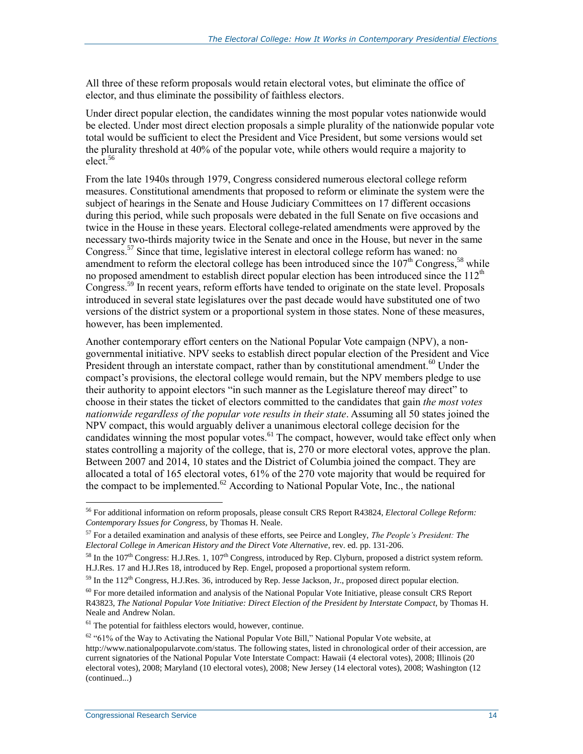All three of these reform proposals would retain electoral votes, but eliminate the office of elector, and thus eliminate the possibility of faithless electors.

Under direct popular election, the candidates winning the most popular votes nationwide would be elected. Under most direct election proposals a simple plurality of the nationwide popular vote total would be sufficient to elect the President and Vice President, but some versions would set the plurality threshold at 40% of the popular vote, while others would require a majority to  $elect$ <sup>56</sup>

From the late 1940s through 1979, Congress considered numerous electoral college reform measures. Constitutional amendments that proposed to reform or eliminate the system were the subject of hearings in the Senate and House Judiciary Committees on 17 different occasions during this period, while such proposals were debated in the full Senate on five occasions and twice in the House in these years. Electoral college-related amendments were approved by the necessary two-thirds majority twice in the Senate and once in the House, but never in the same Congress.<sup>57</sup> Since that time, legislative interest in electoral college reform has waned: no amendment to reform the electoral college has been introduced since the  $107<sup>th</sup>$  Congress,<sup>58</sup> while no proposed amendment to establish direct popular election has been introduced since the  $112<sup>th</sup>$ Congress.<sup>59</sup> In recent years, reform efforts have tended to originate on the state level. Proposals introduced in several state legislatures over the past decade would have substituted one of two versions of the district system or a proportional system in those states. None of these measures, however, has been implemented.

Another contemporary effort centers on the National Popular Vote campaign (NPV), a nongovernmental initiative. NPV seeks to establish direct popular election of the President and Vice President through an interstate compact, rather than by constitutional amendment.<sup>60</sup> Under the compact's provisions, the electoral college would remain, but the NPV members pledge to use their authority to appoint electors "in such manner as the Legislature thereof may direct" to choose in their states the ticket of electors committed to the candidates that gain *the most votes nationwide regardless of the popular vote results in their state*. Assuming all 50 states joined the NPV compact, this would arguably deliver a unanimous electoral college decision for the candidates winning the most popular votes. $^{61}$  The compact, however, would take effect only when states controlling a majority of the college, that is, 270 or more electoral votes, approve the plan. Between 2007 and 2014, 10 states and the District of Columbia joined the compact. They are allocated a total of 165 electoral votes, 61% of the 270 vote majority that would be required for the compact to be implemented. $62$  According to National Popular Vote, Inc., the national

<sup>56</sup> For additional information on reform proposals, please consult CRS Report R43824, *Electoral College Reform: Contemporary Issues for Congress*, by Thomas H. Neale.

<sup>57</sup> For a detailed examination and analysis of these efforts, see Peirce and Longley, *The People's President: The Electoral College in American History and the Direct Vote Alternative*, rev. ed. pp. 131-206.

<sup>&</sup>lt;sup>58</sup> In the 107<sup>th</sup> Congress: H.J.Res. 1, 107<sup>th</sup> Congress, introduced by Rep. Clyburn, proposed a district system reform. H.J.Res. 17 and H.J.Res 18, introduced by Rep. Engel, proposed a proportional system reform.

 $59$  In the 112<sup>th</sup> Congress, H.J.Res. 36, introduced by Rep. Jesse Jackson, Jr., proposed direct popular election.

<sup>&</sup>lt;sup>60</sup> For more detailed information and analysis of the National Popular Vote Initiative, please consult CRS Report R43823, *The National Popular Vote Initiative: Direct Election of the President by Interstate Compact*, by Thomas H. Neale and Andrew Nolan.

 $61$  The potential for faithless electors would, however, continue.

<sup>62</sup> "61% of the Way to Activating the National Popular Vote Bill," National Popular Vote website, at http://www.nationalpopularvote.com/status. The following states, listed in chronological order of their accession, are current signatories of the National Popular Vote Interstate Compact: Hawaii (4 electoral votes), 2008; Illinois (20 electoral votes), 2008; Maryland (10 electoral votes), 2008; New Jersey (14 electoral votes), 2008; Washington (12 (continued...)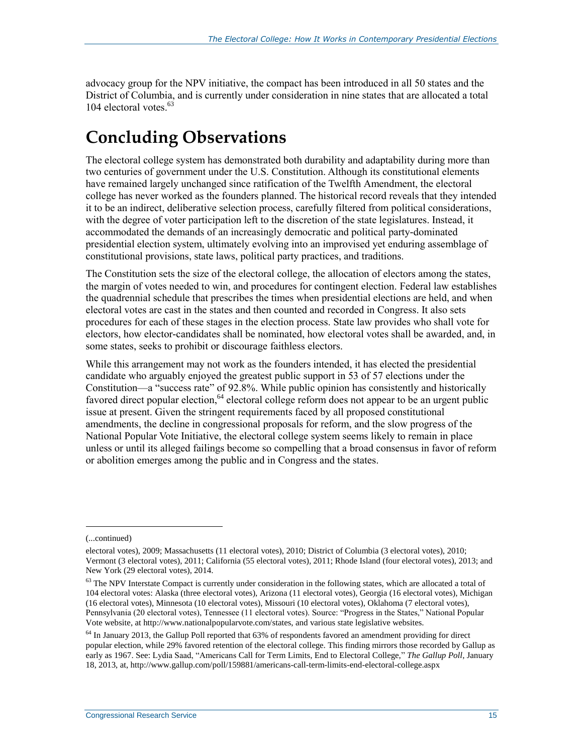advocacy group for the NPV initiative, the compact has been introduced in all 50 states and the District of Columbia, and is currently under consideration in nine states that are allocated a total 104 electoral votes. 63

## **Concluding Observations**

The electoral college system has demonstrated both durability and adaptability during more than two centuries of government under the U.S. Constitution. Although its constitutional elements have remained largely unchanged since ratification of the Twelfth Amendment, the electoral college has never worked as the founders planned. The historical record reveals that they intended it to be an indirect, deliberative selection process, carefully filtered from political considerations, with the degree of voter participation left to the discretion of the state legislatures. Instead, it accommodated the demands of an increasingly democratic and political party-dominated presidential election system, ultimately evolving into an improvised yet enduring assemblage of constitutional provisions, state laws, political party practices, and traditions.

The Constitution sets the size of the electoral college, the allocation of electors among the states, the margin of votes needed to win, and procedures for contingent election. Federal law establishes the quadrennial schedule that prescribes the times when presidential elections are held, and when electoral votes are cast in the states and then counted and recorded in Congress. It also sets procedures for each of these stages in the election process. State law provides who shall vote for electors, how elector-candidates shall be nominated, how electoral votes shall be awarded, and, in some states, seeks to prohibit or discourage faithless electors.

While this arrangement may not work as the founders intended, it has elected the presidential candidate who arguably enjoyed the greatest public support in 53 of 57 elections under the Constitution—a "success rate" of 92.8%. While public opinion has consistently and historically favored direct popular election,<sup>64</sup> electoral college reform does not appear to be an urgent public issue at present. Given the stringent requirements faced by all proposed constitutional amendments, the decline in congressional proposals for reform, and the slow progress of the National Popular Vote Initiative, the electoral college system seems likely to remain in place unless or until its alleged failings become so compelling that a broad consensus in favor of reform or abolition emerges among the public and in Congress and the states.

<sup>(...</sup>continued)

electoral votes), 2009; Massachusetts (11 electoral votes), 2010; District of Columbia (3 electoral votes), 2010; Vermont (3 electoral votes), 2011; California (55 electoral votes), 2011; Rhode Island (four electoral votes), 2013; and New York (29 electoral votes), 2014.

 $63$  The NPV Interstate Compact is currently under consideration in the following states, which are allocated a total of 104 electoral votes: Alaska (three electoral votes), Arizona (11 electoral votes), Georgia (16 electoral votes), Michigan (16 electoral votes), Minnesota (10 electoral votes), Missouri (10 electoral votes), Oklahoma (7 electoral votes), Pennsylvania (20 electoral votes), Tennessee (11 electoral votes). Source: "Progress in the States," National Popular Vote website, at http://www.nationalpopularvote.com/states, and various state legislative websites.

<sup>64</sup> In January 2013, the Gallup Poll reported that 63% of respondents favored an amendment providing for direct popular election, while 29% favored retention of the electoral college. This finding mirrors those recorded by Gallup as early as 1967. See: Lydia Saad, "Americans Call for Term Limits, End to Electoral College," *The Gallup Poll*, January 18, 2013, at, http://www.gallup.com/poll/159881/americans-call-term-limits-end-electoral-college.aspx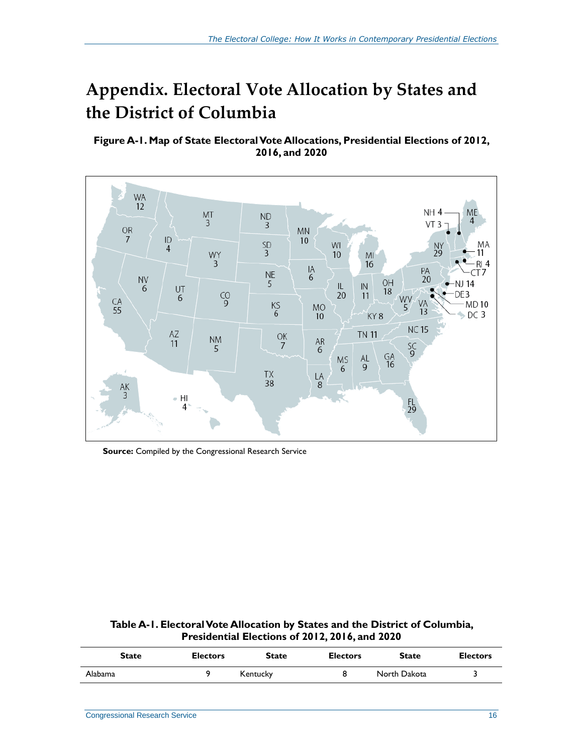## <span id="page-19-0"></span>**Appendix. Electoral Vote Allocation by States and the District of Columbia**

#### <span id="page-19-1"></span>**Figure A-1. Map of State Electoral Vote Allocations, Presidential Elections of 2012, 2016, and 2020**



**Source:** Compiled by the Congressional Research Service

<span id="page-19-2"></span>**Table A-1. Electoral Vote Allocation by States and the District of Columbia, Presidential Elections of 2012, 2016, and 2020**

| State   | <b>Electors</b> | <b>State</b> | <b>Electors</b> | <b>State</b> | <b>Electors</b> |
|---------|-----------------|--------------|-----------------|--------------|-----------------|
| Alabama |                 | Kentucky     |                 | North Dakota |                 |